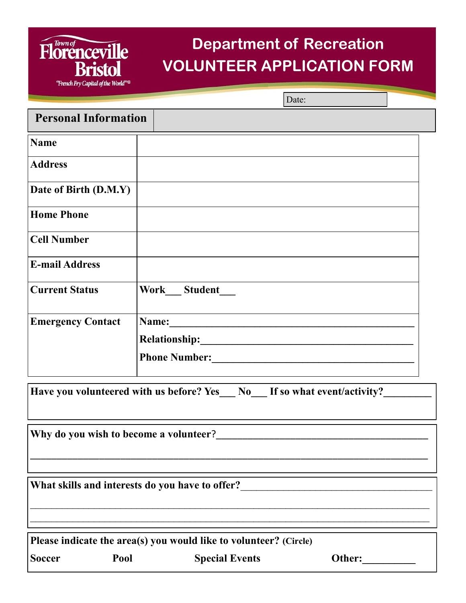## **Department of Recreation VOLUNTEER APPLICATION FORM**

Date:

| <b>Personal Information</b>            |                                                                        |        |
|----------------------------------------|------------------------------------------------------------------------|--------|
| <b>Name</b>                            |                                                                        |        |
| <b>Address</b>                         |                                                                        |        |
| Date of Birth (D.M.Y)                  |                                                                        |        |
| <b>Home Phone</b>                      |                                                                        |        |
| <b>Cell Number</b>                     |                                                                        |        |
| <b>E-mail Address</b>                  |                                                                        |        |
| <b>Current Status</b>                  | Work Student                                                           |        |
| <b>Emergency Contact</b>               |                                                                        |        |
|                                        |                                                                        |        |
|                                        | Phone Number:                                                          |        |
|                                        | Have you volunteered with us before? Yes No If so what event/activity? |        |
| Why do you wish to become a volunteer? |                                                                        |        |
|                                        | What skills and interests do you have to offer?                        |        |
|                                        | Please indicate the area(s) you would like to volunteer? (Circle)      |        |
| <b>Soccer</b><br>Pool                  | <b>Special Events</b>                                                  | Other: |

**Florenceville** 

**Bristol** "French Fry Capital of the World"<sup>®</sup>